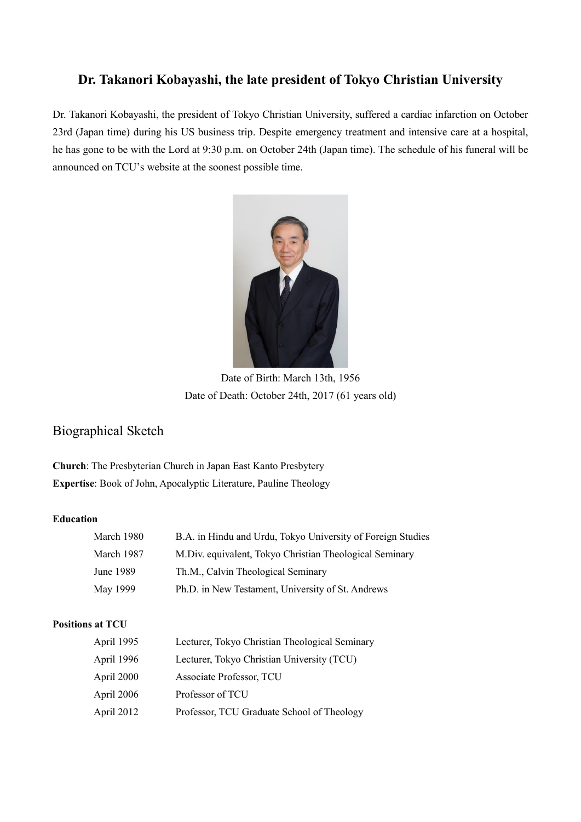# **Dr. Takanori Kobayashi, the late president of Tokyo Christian University**

Dr. Takanori Kobayashi, the president of Tokyo Christian University, suffered a cardiac infarction on October 23rd (Japan time) during his US business trip. Despite emergency treatment and intensive care at a hospital, he has gone to be with the Lord at 9:30 p.m. on October 24th (Japan time). The schedule of his funeral will be announced on TCU's website at the soonest possible time.



Date of Birth: March 13th, 1956 Date of Death: October 24th, 2017 (61 years old)

# Biographical Sketch

**Church**: The Presbyterian Church in Japan East Kanto Presbytery **Expertise**: Book of John, Apocalyptic Literature, Pauline Theology

### **Education**

| March 1980 | B.A. in Hindu and Urdu, Tokyo University of Foreign Studies |
|------------|-------------------------------------------------------------|
| March 1987 | M. Div. equivalent, Tokyo Christian Theological Seminary    |
| June 1989  | Th.M., Calvin Theological Seminary                          |
| May 1999   | Ph.D. in New Testament, University of St. Andrews           |

### **Positions at TCU**

| April 1995 | Lecturer, Tokyo Christian Theological Seminary |
|------------|------------------------------------------------|
| April 1996 | Lecturer, Tokyo Christian University (TCU)     |
| April 2000 | Associate Professor, TCU                       |
| April 2006 | Professor of TCU                               |
| April 2012 | Professor, TCU Graduate School of Theology     |
|            |                                                |